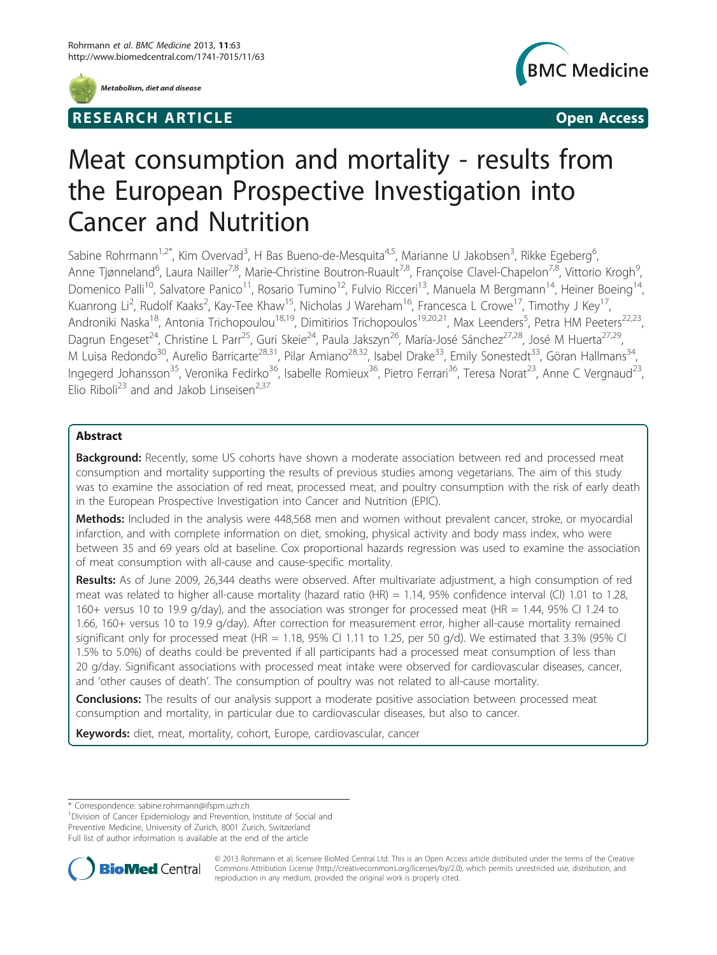

Metabolism, diet and disease

## **RESEARCH ARTICLE Example 2018 CONSUMING ACCESS**



# Meat consumption and mortality - results from the European Prospective Investigation into Cancer and Nutrition

Sabine Rohrmann<sup>1,2\*</sup>, Kim Overvad<sup>3</sup>, H Bas Bueno-de-Mesquita<sup>4,5</sup>, Marianne U Jakobsen<sup>3</sup>, Rikke Egeberg<sup>6</sup> , Anne Tjønneland<sup>6</sup>, Laura Nailler<sup>7,8</sup>, Marie-Christine Boutron-Ruault<sup>7,8</sup>, Françoise Clavel-Chapelon<sup>7,8</sup>, Vittorio Krogh<sup>9</sup> , Domenico Palli<sup>10</sup>, Salvatore Panico<sup>11</sup>, Rosario Tumino<sup>12</sup>, Fulvio Ricceri<sup>13</sup>, Manuela M Bergmann<sup>14</sup>, Heiner Boeing<sup>14</sup>, Kuanrong Li<sup>2</sup>, Rudolf Kaaks<sup>2</sup>, Kay-Tee Khaw<sup>15</sup>, Nicholas J Wareham<sup>16</sup>, Francesca L Crowe<sup>17</sup>, Timothy J Key<sup>17</sup>, Androniki Naska<sup>18</sup>, Antonia Trichopoulou<sup>18,19</sup>, Dimitirios Trichopoulos<sup>19,20,21</sup>, Max Leenders<sup>5</sup>, Petra HM Peeters<sup>22,23</sup>, Dagrun Engeset<sup>24</sup>, Christine L Parr<sup>25</sup>, Guri Skeie<sup>24</sup>, Paula Jakszyn<sup>26</sup>, María-José Sánchez<sup>27,28</sup>, José M Huerta<sup>27,29</sup>, M Luisa Redondo<sup>30</sup>, Aurelio Barricarte<sup>28,31</sup>, Pilar Amiano<sup>28,32</sup>, Isabel Drake<sup>33</sup>, Emily Sonestedt<sup>33</sup>, Göran Hallmans<sup>34</sup>, Ingegerd Johansson<sup>35</sup>, Veronika Fedirko<sup>36</sup>, Isabelle Romieux<sup>36</sup>, Pietro Ferrari<sup>36</sup>, Teresa Norat<sup>23</sup>, Anne C Vergnaud<sup>23</sup>, Elio Riboli<sup>23</sup> and and Jakob Linseisen<sup>2,37</sup>

## Abstract

**Background:** Recently, some US cohorts have shown a moderate association between red and processed meat consumption and mortality supporting the results of previous studies among vegetarians. The aim of this study was to examine the association of red meat, processed meat, and poultry consumption with the risk of early death in the European Prospective Investigation into Cancer and Nutrition (EPIC).

Methods: Included in the analysis were 448,568 men and women without prevalent cancer, stroke, or myocardial infarction, and with complete information on diet, smoking, physical activity and body mass index, who were between 35 and 69 years old at baseline. Cox proportional hazards regression was used to examine the association of meat consumption with all-cause and cause-specific mortality.

Results: As of June 2009, 26,344 deaths were observed. After multivariate adjustment, a high consumption of red meat was related to higher all-cause mortality (hazard ratio  $(HR) = 1.14$ , 95% confidence interval (CI) 1.01 to 1.28, 160+ versus 10 to 19.9 g/day), and the association was stronger for processed meat (HR = 1.44, 95% CI 1.24 to 1.66, 160+ versus 10 to 19.9 g/day). After correction for measurement error, higher all-cause mortality remained significant only for processed meat (HR = 1.18, 95% CI 1.11 to 1.25, per 50 g/d). We estimated that 3.3% (95% CI 1.5% to 5.0%) of deaths could be prevented if all participants had a processed meat consumption of less than 20 g/day. Significant associations with processed meat intake were observed for cardiovascular diseases, cancer, and 'other causes of death'. The consumption of poultry was not related to all-cause mortality.

**Conclusions:** The results of our analysis support a moderate positive association between processed meat consumption and mortality, in particular due to cardiovascular diseases, but also to cancer.

Keywords: diet, meat, mortality, cohort, Europe, cardiovascular, cancer

\* Correspondence: [sabine.rohrmann@ifspm.uzh.ch](mailto:sabine.rohrmann@ifspm.uzh.ch)

<sup>1</sup> Division of Cancer Epidemiology and Prevention, Institute of Social and Preventive Medicine, University of Zurich, 8001 Zurich, Switzerland Full list of author information is available at the end of the article



© 2013 Rohrmann et al; licensee BioMed Central Ltd. This is an Open Access article distributed under the terms of the Creative Commons Attribution License (http://creativecommons.org/licenses/by/2.0), which permits unrestricted use, distribution, and reproduction in any medium, provided the original work is properly cited.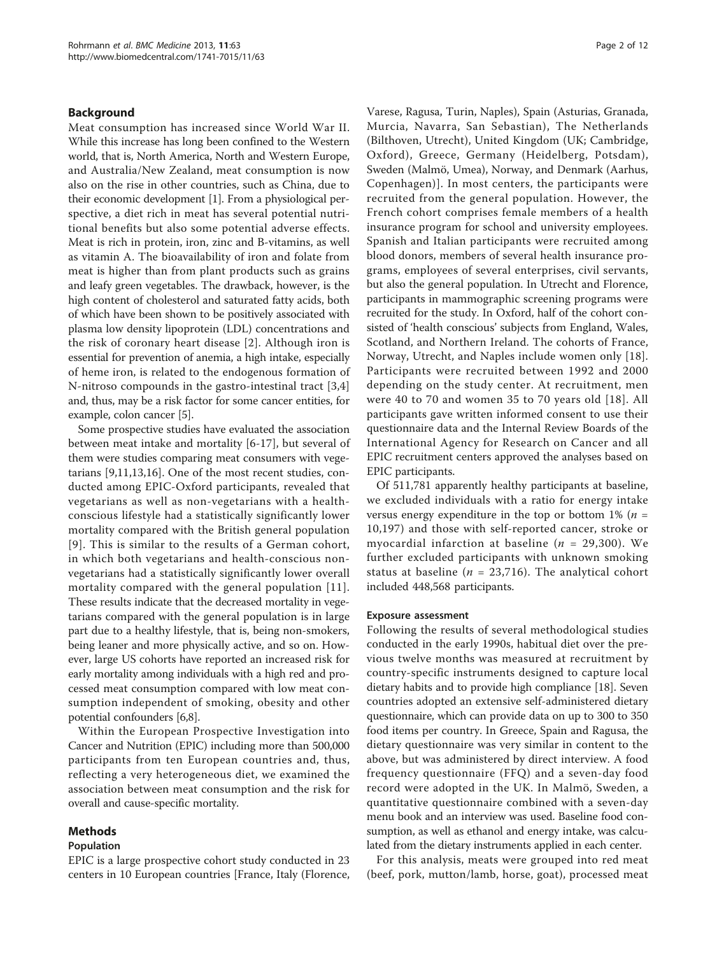## Background

Meat consumption has increased since World War II. While this increase has long been confined to the Western world, that is, North America, North and Western Europe, and Australia/New Zealand, meat consumption is now also on the rise in other countries, such as China, due to their economic development [\[1](#page-10-0)]. From a physiological perspective, a diet rich in meat has several potential nutritional benefits but also some potential adverse effects. Meat is rich in protein, iron, zinc and B-vitamins, as well as vitamin A. The bioavailability of iron and folate from meat is higher than from plant products such as grains and leafy green vegetables. The drawback, however, is the high content of cholesterol and saturated fatty acids, both of which have been shown to be positively associated with plasma low density lipoprotein (LDL) concentrations and the risk of coronary heart disease [[2](#page-10-0)]. Although iron is essential for prevention of anemia, a high intake, especially of heme iron, is related to the endogenous formation of N-nitroso compounds in the gastro-intestinal tract [[3,4](#page-10-0)] and, thus, may be a risk factor for some cancer entities, for example, colon cancer [\[5\]](#page-10-0).

Some prospective studies have evaluated the association between meat intake and mortality [[6-](#page-10-0)[17](#page-11-0)], but several of them were studies comparing meat consumers with vegetarians [\[9,11,13](#page-10-0)[,16](#page-11-0)]. One of the most recent studies, conducted among EPIC-Oxford participants, revealed that vegetarians as well as non-vegetarians with a healthconscious lifestyle had a statistically significantly lower mortality compared with the British general population [[9](#page-10-0)]. This is similar to the results of a German cohort, in which both vegetarians and health-conscious nonvegetarians had a statistically significantly lower overall mortality compared with the general population [\[11\]](#page-10-0). These results indicate that the decreased mortality in vegetarians compared with the general population is in large part due to a healthy lifestyle, that is, being non-smokers, being leaner and more physically active, and so on. However, large US cohorts have reported an increased risk for early mortality among individuals with a high red and processed meat consumption compared with low meat consumption independent of smoking, obesity and other potential confounders [\[6,8](#page-10-0)].

Within the European Prospective Investigation into Cancer and Nutrition (EPIC) including more than 500,000 participants from ten European countries and, thus, reflecting a very heterogeneous diet, we examined the association between meat consumption and the risk for overall and cause-specific mortality.

## Methods

#### Population

EPIC is a large prospective cohort study conducted in 23 centers in 10 European countries [France, Italy (Florence,

Varese, Ragusa, Turin, Naples), Spain (Asturias, Granada, Murcia, Navarra, San Sebastian), The Netherlands (Bilthoven, Utrecht), United Kingdom (UK; Cambridge, Oxford), Greece, Germany (Heidelberg, Potsdam), Sweden (Malmö, Umea), Norway, and Denmark (Aarhus, Copenhagen)]. In most centers, the participants were recruited from the general population. However, the French cohort comprises female members of a health insurance program for school and university employees. Spanish and Italian participants were recruited among blood donors, members of several health insurance programs, employees of several enterprises, civil servants, but also the general population. In Utrecht and Florence, participants in mammographic screening programs were recruited for the study. In Oxford, half of the cohort consisted of 'health conscious' subjects from England, Wales, Scotland, and Northern Ireland. The cohorts of France, Norway, Utrecht, and Naples include women only [[18](#page-11-0)]. Participants were recruited between 1992 and 2000 depending on the study center. At recruitment, men were 40 to 70 and women 35 to 70 years old [[18\]](#page-11-0). All participants gave written informed consent to use their questionnaire data and the Internal Review Boards of the International Agency for Research on Cancer and all EPIC recruitment centers approved the analyses based on EPIC participants.

Of 511,781 apparently healthy participants at baseline, we excluded individuals with a ratio for energy intake versus energy expenditure in the top or bottom  $1\%$  ( $n =$ 10,197) and those with self-reported cancer, stroke or myocardial infarction at baseline ( $n = 29,300$ ). We further excluded participants with unknown smoking status at baseline ( $n = 23,716$ ). The analytical cohort included 448,568 participants.

### Exposure assessment

Following the results of several methodological studies conducted in the early 1990s, habitual diet over the previous twelve months was measured at recruitment by country-specific instruments designed to capture local dietary habits and to provide high compliance [\[18\]](#page-11-0). Seven countries adopted an extensive self-administered dietary questionnaire, which can provide data on up to 300 to 350 food items per country. In Greece, Spain and Ragusa, the dietary questionnaire was very similar in content to the above, but was administered by direct interview. A food frequency questionnaire (FFQ) and a seven-day food record were adopted in the UK. In Malmö, Sweden, a quantitative questionnaire combined with a seven-day menu book and an interview was used. Baseline food consumption, as well as ethanol and energy intake, was calculated from the dietary instruments applied in each center.

For this analysis, meats were grouped into red meat (beef, pork, mutton/lamb, horse, goat), processed meat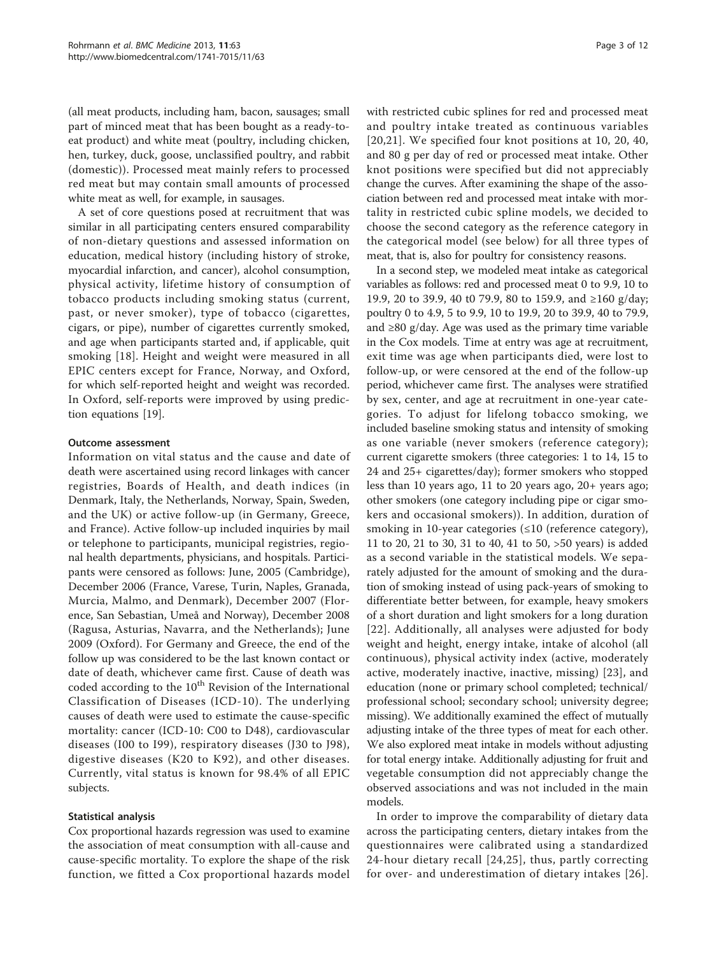(all meat products, including ham, bacon, sausages; small part of minced meat that has been bought as a ready-toeat product) and white meat (poultry, including chicken, hen, turkey, duck, goose, unclassified poultry, and rabbit (domestic)). Processed meat mainly refers to processed red meat but may contain small amounts of processed white meat as well, for example, in sausages.

A set of core questions posed at recruitment that was similar in all participating centers ensured comparability of non-dietary questions and assessed information on education, medical history (including history of stroke, myocardial infarction, and cancer), alcohol consumption, physical activity, lifetime history of consumption of tobacco products including smoking status (current, past, or never smoker), type of tobacco (cigarettes, cigars, or pipe), number of cigarettes currently smoked, and age when participants started and, if applicable, quit smoking [\[18](#page-11-0)]. Height and weight were measured in all EPIC centers except for France, Norway, and Oxford, for which self-reported height and weight was recorded. In Oxford, self-reports were improved by using prediction equations [[19](#page-11-0)].

## Outcome assessment

Information on vital status and the cause and date of death were ascertained using record linkages with cancer registries, Boards of Health, and death indices (in Denmark, Italy, the Netherlands, Norway, Spain, Sweden, and the UK) or active follow-up (in Germany, Greece, and France). Active follow-up included inquiries by mail or telephone to participants, municipal registries, regional health departments, physicians, and hospitals. Participants were censored as follows: June, 2005 (Cambridge), December 2006 (France, Varese, Turin, Naples, Granada, Murcia, Malmo, and Denmark), December 2007 (Florence, San Sebastian, Umeå and Norway), December 2008 (Ragusa, Asturias, Navarra, and the Netherlands); June 2009 (Oxford). For Germany and Greece, the end of the follow up was considered to be the last known contact or date of death, whichever came first. Cause of death was coded according to the  $10<sup>th</sup>$  Revision of the International Classification of Diseases (ICD-10). The underlying causes of death were used to estimate the cause-specific mortality: cancer (ICD-10: C00 to D48), cardiovascular diseases (I00 to I99), respiratory diseases (J30 to J98), digestive diseases (K20 to K92), and other diseases. Currently, vital status is known for 98.4% of all EPIC subjects.

## Statistical analysis

Cox proportional hazards regression was used to examine the association of meat consumption with all-cause and cause-specific mortality. To explore the shape of the risk function, we fitted a Cox proportional hazards model with restricted cubic splines for red and processed meat and poultry intake treated as continuous variables [[20](#page-11-0),[21](#page-11-0)]. We specified four knot positions at 10, 20, 40, and 80 g per day of red or processed meat intake. Other knot positions were specified but did not appreciably change the curves. After examining the shape of the association between red and processed meat intake with mortality in restricted cubic spline models, we decided to choose the second category as the reference category in the categorical model (see below) for all three types of meat, that is, also for poultry for consistency reasons.

In a second step, we modeled meat intake as categorical variables as follows: red and processed meat 0 to 9.9, 10 to 19.9, 20 to 39.9, 40 t0 79.9, 80 to 159.9, and ≥160 g/day; poultry 0 to 4.9, 5 to 9.9, 10 to 19.9, 20 to 39.9, 40 to 79.9, and ≥80 g/day. Age was used as the primary time variable in the Cox models. Time at entry was age at recruitment, exit time was age when participants died, were lost to follow-up, or were censored at the end of the follow-up period, whichever came first. The analyses were stratified by sex, center, and age at recruitment in one-year categories. To adjust for lifelong tobacco smoking, we included baseline smoking status and intensity of smoking as one variable (never smokers (reference category); current cigarette smokers (three categories: 1 to 14, 15 to 24 and 25+ cigarettes/day); former smokers who stopped less than 10 years ago, 11 to 20 years ago, 20+ years ago; other smokers (one category including pipe or cigar smokers and occasional smokers)). In addition, duration of smoking in 10-year categories (≤10 (reference category), 11 to 20, 21 to 30, 31 to 40, 41 to 50, >50 years) is added as a second variable in the statistical models. We separately adjusted for the amount of smoking and the duration of smoking instead of using pack-years of smoking to differentiate better between, for example, heavy smokers of a short duration and light smokers for a long duration [[22\]](#page-11-0). Additionally, all analyses were adjusted for body weight and height, energy intake, intake of alcohol (all continuous), physical activity index (active, moderately active, moderately inactive, inactive, missing) [\[23](#page-11-0)], and education (none or primary school completed; technical/ professional school; secondary school; university degree; missing). We additionally examined the effect of mutually adjusting intake of the three types of meat for each other. We also explored meat intake in models without adjusting for total energy intake. Additionally adjusting for fruit and vegetable consumption did not appreciably change the observed associations and was not included in the main models.

In order to improve the comparability of dietary data across the participating centers, dietary intakes from the questionnaires were calibrated using a standardized 24-hour dietary recall [[24](#page-11-0),[25](#page-11-0)], thus, partly correcting for over- and underestimation of dietary intakes [[26](#page-11-0)].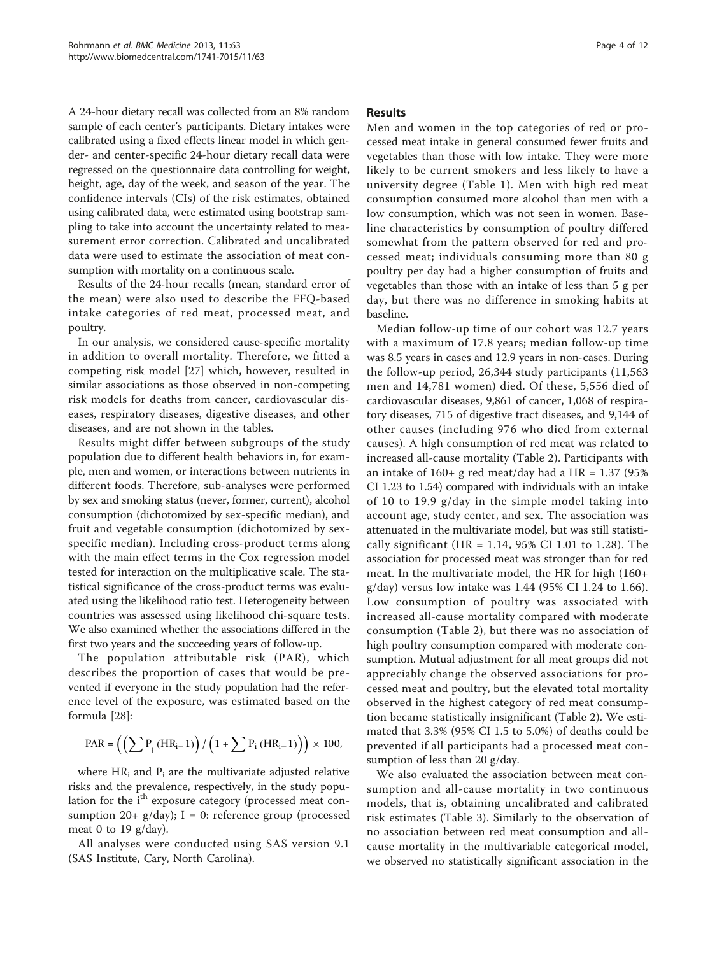A 24-hour dietary recall was collected from an 8% random sample of each center's participants. Dietary intakes were calibrated using a fixed effects linear model in which gender- and center-specific 24-hour dietary recall data were regressed on the questionnaire data controlling for weight, height, age, day of the week, and season of the year. The confidence intervals (CIs) of the risk estimates, obtained using calibrated data, were estimated using bootstrap sampling to take into account the uncertainty related to measurement error correction. Calibrated and uncalibrated data were used to estimate the association of meat consumption with mortality on a continuous scale.

Results of the 24-hour recalls (mean, standard error of the mean) were also used to describe the FFQ-based intake categories of red meat, processed meat, and poultry.

In our analysis, we considered cause-specific mortality in addition to overall mortality. Therefore, we fitted a competing risk model [[27\]](#page-11-0) which, however, resulted in similar associations as those observed in non-competing risk models for deaths from cancer, cardiovascular diseases, respiratory diseases, digestive diseases, and other diseases, and are not shown in the tables.

Results might differ between subgroups of the study population due to different health behaviors in, for example, men and women, or interactions between nutrients in different foods. Therefore, sub-analyses were performed by sex and smoking status (never, former, current), alcohol consumption (dichotomized by sex-specific median), and fruit and vegetable consumption (dichotomized by sexspecific median). Including cross-product terms along with the main effect terms in the Cox regression model tested for interaction on the multiplicative scale. The statistical significance of the cross-product terms was evaluated using the likelihood ratio test. Heterogeneity between countries was assessed using likelihood chi-square tests. We also examined whether the associations differed in the first two years and the succeeding years of follow-up.

The population attributable risk (PAR), which describes the proportion of cases that would be prevented if everyone in the study population had the reference level of the exposure, was estimated based on the formula [\[28\]](#page-11-0):

$$
PAR=\left(\left(\sum P_{i}\left(HR_{i-}1\right)\right)/\left(1+\sum P_{i}\left(HR_{i-}1\right)\right)\right)\times100,
$$

where  $HR_i$  and  $P_i$  are the multivariate adjusted relative risks and the prevalence, respectively, in the study population for the i<sup>th</sup> exposure category (processed meat consumption 20+  $g/day$ ; I = 0: reference group (processed meat 0 to 19  $g/day$ ).

All analyses were conducted using SAS version 9.1 (SAS Institute, Cary, North Carolina).

## **Results**

Men and women in the top categories of red or processed meat intake in general consumed fewer fruits and vegetables than those with low intake. They were more likely to be current smokers and less likely to have a university degree (Table [1\)](#page-4-0). Men with high red meat consumption consumed more alcohol than men with a low consumption, which was not seen in women. Baseline characteristics by consumption of poultry differed somewhat from the pattern observed for red and processed meat; individuals consuming more than 80 g poultry per day had a higher consumption of fruits and vegetables than those with an intake of less than 5 g per day, but there was no difference in smoking habits at baseline.

Median follow-up time of our cohort was 12.7 years with a maximum of 17.8 years; median follow-up time was 8.5 years in cases and 12.9 years in non-cases. During the follow-up period, 26,344 study participants (11,563 men and 14,781 women) died. Of these, 5,556 died of cardiovascular diseases, 9,861 of cancer, 1,068 of respiratory diseases, 715 of digestive tract diseases, and 9,144 of other causes (including 976 who died from external causes). A high consumption of red meat was related to increased all-cause mortality (Table [2](#page-5-0)). Participants with an intake of  $160+$  g red meat/day had a HR =  $1.37$  (95%) CI 1.23 to 1.54) compared with individuals with an intake of 10 to 19.9 g/day in the simple model taking into account age, study center, and sex. The association was attenuated in the multivariate model, but was still statistically significant (HR =  $1.14$ , 95% CI 1.01 to 1.28). The association for processed meat was stronger than for red meat. In the multivariate model, the HR for high (160+ g/day) versus low intake was 1.44 (95% CI 1.24 to 1.66). Low consumption of poultry was associated with increased all-cause mortality compared with moderate consumption (Table [2](#page-5-0)), but there was no association of high poultry consumption compared with moderate consumption. Mutual adjustment for all meat groups did not appreciably change the observed associations for processed meat and poultry, but the elevated total mortality observed in the highest category of red meat consumption became statistically insignificant (Table [2](#page-5-0)). We estimated that 3.3% (95% CI 1.5 to 5.0%) of deaths could be prevented if all participants had a processed meat consumption of less than 20 g/day.

We also evaluated the association between meat consumption and all-cause mortality in two continuous models, that is, obtaining uncalibrated and calibrated risk estimates (Table [3\)](#page-5-0). Similarly to the observation of no association between red meat consumption and allcause mortality in the multivariable categorical model, we observed no statistically significant association in the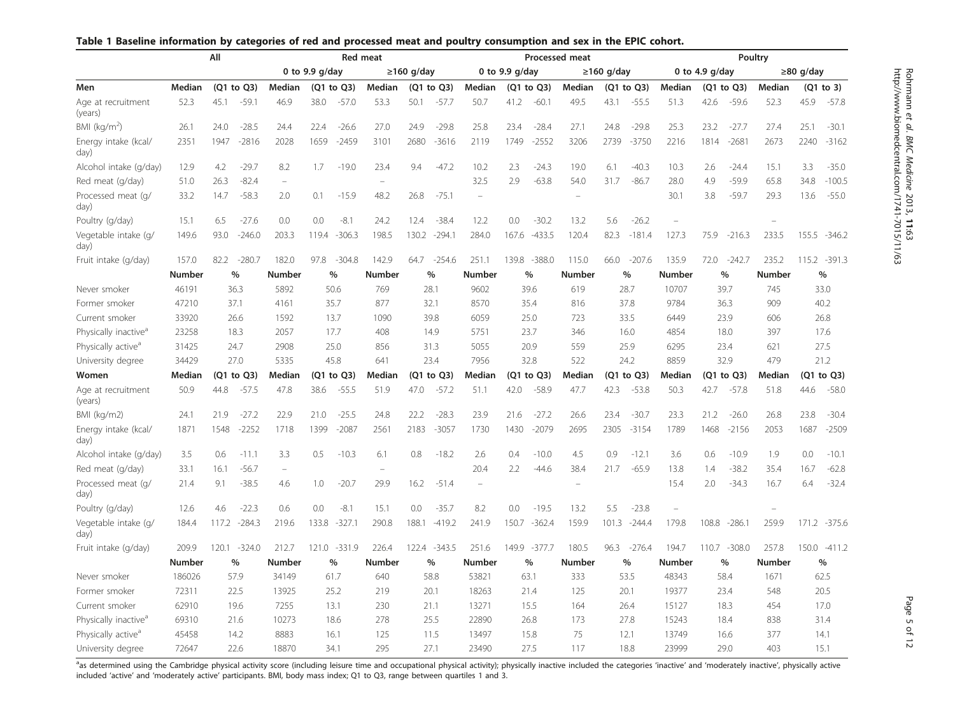| All  |             |                          | Red meat          | <b>Processed meat</b> |                          |                  |              |          |                   | Poultry      |        |      |                  |                          |      |             |                 |      |              |
|------|-------------|--------------------------|-------------------|-----------------------|--------------------------|------------------|--------------|----------|-------------------|--------------|--------|------|------------------|--------------------------|------|-------------|-----------------|------|--------------|
|      |             |                          | 0 to 9.9 $q$ /day |                       |                          | $\geq$ 160 g/day |              |          | 0 to 9.9 $q$ /day |              |        |      | $\geq$ 160 g/day | 0 to 4.9 $q/day$         |      |             | $\geq$ 80 g/day |      |              |
|      | (Q1 to Q3)  | Median                   |                   | (Q1 to Q3)            | Median                   |                  | (Q1 to Q3)   | Median   |                   | (Q1 to Q3)   | Median |      | (Q1 to Q3)       | Median                   |      | (Q1 to Q3)  | Median          |      | (Q1 to 3)    |
| 45.1 | $-59.1$     | 46.9                     | 38.0              | $-57.0$               | 53.3                     | 50.1             | $-57.7$      | 50.7     | 41.2              | $-60.1$      | 49.5   | 43.1 | $-55.5$          | 51.3                     |      | 42.6 -59.6  | 52.3            | 45.9 | -57.8        |
| 24.0 | $-28.5$     | 24.4                     | 22.4              | $-26.6$               | 27.0                     | 24.9             | $-29.8$      | 25.8     | 23.4              | $-28.4$      | 27.1   | 24.8 | $-29.8$          | 25.3                     | 23.2 | $-27.7$     | 27.4            | 25.1 | $-30.1$      |
| 1947 | $-2816$     | 2028                     | 1659              | $-2459$               | 3101                     | 2680             | $-3616$      | 2119     | 1749              | $-2552$      | 3206   | 2739 | $-3750$          | 2216                     | 1814 | $-2681$     | 2673            | 2240 | $-3162$      |
| 4.2  | $-29.7$     | 8.2                      | 1.7               | $-19.0$               | 23.4                     | 9.4              | $-47.2$      | 10.2     | 2.3               | $-24.3$      | 19.0   | 6.1  | $-40.3$          | 10.3                     | 2.6  | $-24.4$     | 15.1            | 3.3  | $-35.0$      |
| 26.3 | $-82.4$     | $\overline{\phantom{m}}$ |                   |                       | $\overline{\phantom{m}}$ |                  |              | 32.5     | 2.9               | $-63.8$      | 54.0   | 31.7 | $-86.7$          | 28.0                     | 4.9  | $-59.9$     | 65.8            | 34.8 | $-100.5$     |
| 14.7 | $-58.3$     | 2.0                      | 0.1               | $-15.9$               | 48.2                     | 26.8             | $-75.1$      | $\equiv$ |                   |              |        |      |                  | 30.1                     | 3.8  | $-59.7$     | 29.3            | 13.6 | $-55.0$      |
| 6.5  | $-27.6$     | 0.0                      | 0.0               | $-8.1$                | 24.2                     | 12.4             | $-38.4$      | 12.2     | 0.0               | $-30.2$      | 13.2   | 5.6  | $-26.2$          | $\overline{\phantom{m}}$ |      |             |                 |      |              |
| 93.0 | $-246.0$    | 203.3                    | 119.4             | $-306.3$              | 198.5                    |                  | 130.2 -294.1 | 284.0    | 167.6             | $-433.5$     | 120.4  | 82.3 | $-181.4$         | 127.3                    | 75.9 | $-216.3$    | 233.5           |      | 155.5 -346.2 |
|      | 82.2 -280.7 | 182.0                    | 97.8              | $-304.8$              | 142.9                    |                  | 64.7 -254.6  | 251.1    |                   | 139.8 -388.0 | 115.0  | 66.0 | $-207.6$         | 135.9                    |      | 72.0 -242.7 | 235.2           |      | 115.2 -391.3 |
|      | $\%$        | <b>Number</b>            |                   | $\%$                  | <b>Number</b>            |                  | $\%$         | Number   |                   | $\%$         | Number |      | $\%$             | <b>Number</b>            |      | $\%$        | <b>Number</b>   |      | $\%$         |
|      | 36.3        | 5892                     |                   | 50.6                  | 769                      |                  | 28.1         | 9602     |                   | 39.6         | 619    |      | 28.7             | 10707                    | 39.7 |             | 745             | 33.0 |              |
|      | 37.1        | 4161                     |                   | 35.7                  | 877                      |                  | 32.1         | 8570     |                   | 35.4         | 816    |      | 37.8             | 9784                     |      | 36.3        | 909             |      | 40.2         |
|      | 26.6        | 1592                     |                   | 13.7                  | 1090                     |                  | 39.8         | 6059     |                   | 25.0         | 723    |      | 33.5             | 6449                     |      | 23.9        | 606             |      | 26.8         |
|      | 18.3        | 2057                     |                   | 17.7                  | 408                      |                  | 14.9         | 5751     |                   | 23.7         | 346    |      | 16.0             | 4854                     |      | 18.0        | 397             |      | 17.6         |
|      | 24.7        | 2908                     |                   | 25.0                  | 856                      |                  | 31.3         | 5055     |                   | 20.9         | 559    |      | 25.9             | 6295                     |      | 23.4        | 621             |      | 27.5         |
|      | 27.0        | 5335                     |                   | 45.8                  | 641                      |                  | 23.4         | 7956     |                   | 32.8         | 522    |      | 24.2             | 8859                     |      | 32.9        | 479             |      | 21.2         |
|      | (Q1 to Q3)  | Median                   |                   | (Q1 to Q3)            | Median                   |                  | (Q1 to Q3)   | Median   |                   | (Q1 to Q3)   | Median |      | (Q1 to Q3)       | Median                   |      | (Q1 to Q3)  | Median          |      | (Q1 to Q3)   |
| 44.8 | -57.5       | 47.8                     | 38.6              | $-55.5$               | 51.9                     | 47.0             | $-57.2$      | 51.1     | 42.0              | $-58.9$      | 47.7   | 42.3 | $-53.8$          | 50.3                     | 42.7 | $-57.8$     | 51.8            | 44.6 | -58.0        |

<span id="page-4-0"></span>

|                                  |               |            |          | 0 to 9.9 g/day |            |          | $\geq$ 160 g/day         |       |            | 0 to 9.9 $g$ /day |       |            | ≥160 g/day    |       |            | 0 to 4.9 $g/day$ |             |             | $\geq$ 80 g/day |       |              |
|----------------------------------|---------------|------------|----------|----------------|------------|----------|--------------------------|-------|------------|-------------------|-------|------------|---------------|-------|------------|------------------|-------------|-------------|-----------------|-------|--------------|
| Men                              | Median        | (Q1 to Q3) |          | Median         | (Q1 to Q3) |          | Median                   |       | (Q1 to Q3) | Median            |       | (Q1 to Q3) | Median        |       | (Q1 to Q3) | Median           |             | (Q1 to Q3)  | Median          |       | (Q1 to 3)    |
| Age at recruitment<br>(years)    | 52.3          | 45.1       | $-59.1$  | 46.9           | 38.0       | $-57.0$  | 53.3                     | 50.1  | $-57.7$    | 50.7              | 41.2  | $-60.1$    | 49.5          | 43.1  | $-55.5$    | 51.3             | 42.6        | $-59.6$     | 52.3            | 45.9  | $-57.8$      |
| BMI ( $kg/m2$ )                  | 26.1          | 24.0       | $-28.5$  | 24.4           | 22.4       | $-26.6$  | 27.0                     | 24.9  | $-29.8$    | 25.8              | 23.4  | $-28.4$    | 27.1          | 24.8  | $-29.8$    | 25.3             | 23.2        | $-27.7$     | 27.4            | 25.1  | $-30.1$      |
| Energy intake (kcal/<br>day)     | 2351          | 1947       | $-2816$  | 2028           | 1659       | $-2459$  | 3101                     | 2680  | $-3616$    | 2119              | 1749  | $-2552$    | 3206          | 2739  | $-3750$    | 2216             | 1814        | $-2681$     | 2673            | 2240  | $-3162$      |
| Alcohol intake (g/day)           | 12.9          | 4.2        | $-29.7$  | 8.2            | 1.7        | $-19.0$  | 23.4                     | 9.4   | $-47.2$    | 10.2              | 2.3   | $-24.3$    | 19.0          | 6.1   | $-40.3$    | 10.3             | 2.6         | $-24.4$     | 15.1            | 3.3   | $-35.0$      |
| Red meat (g/day)                 | 51.0          | 26.3       | $-82.4$  | $\equiv$       |            |          | $\overline{\phantom{m}}$ |       |            | 32.5              | 2.9   | $-63.8$    | 54.0          | 31.7  | $-86.7$    | 28.0             | 4.9         | $-59.9$     | 65.8            | 34.8  | $-100.5$     |
| Processed meat (g/<br>day)       | 33.2          | 14.7       | $-58.3$  | 2.0            | 0.1        | $-15.9$  | 48.2                     | 26.8  | $-75.1$    | $\equiv$          |       |            | ÷,            |       |            | 30.1             | 3.8         | $-59.7$     | 29.3            | 13.6  | $-55.0$      |
| Poultry (g/day)                  | 15.1          | 6.5        | $-27.6$  | 0.0            | 0.0        | $-8.1$   | 24.2                     | 12.4  | $-38.4$    | 12.2              | 0.0   | $-30.2$    | 13.2          | 5.6   | $-26.2$    | $\overline{a}$   |             |             |                 |       |              |
| Vegetable intake (g/<br>day)     | 149.6         | 93.0       | $-246.0$ | 203.3          | 119.4      | $-306.3$ | 198.5                    | 130.2 | $-294.1$   | 284.0             | 167.6 | $-433.5$   | 120.4         | 82.3  | $-181.4$   | 127.3            | 75.9        | $-216.3$    | 233.5           | 155.5 | $-346.2$     |
| Fruit intake (g/day)             | 157.0         | 82.2       | $-280.7$ | 182.0          | 97.8       | $-304.8$ | 142.9                    | 64.7  | $-254.6$   | 251.1             | 139.8 | $-388.0$   | 115.0         | 66.0  | $-207.6$   | 135.9            | 72.0        | $-242.7$    | 235.2           |       | 115.2 -391.3 |
|                                  | <b>Number</b> | %          |          | Number         |            | $\%$     | Number                   |       | $\%$       | Number            |       | $\%$       | Number        |       | $\%$       | Number           |             | $\%$        | Number          |       | $\%$         |
| Never smoker                     | 46191         | 36.3       |          | 5892           | 50.6       |          | 769                      |       | 28.1       | 9602              |       | 39.6       | 619           |       | 28.7       | 10707            |             | 39.7        | 745             |       | 33.0         |
| Former smoker                    | 47210         | 37.1       |          | 4161           | 35.7       |          | 877                      |       | 32.1       | 8570              | 35.4  |            | 816           | 37.8  |            | 9784             | 36.3        |             | 909             |       | 40.2         |
| Current smoker                   | 33920         | 26.6       |          | 1592           | 13.7       |          | 1090                     | 39.8  |            | 6059              |       | 25.0       | 723           | 33.5  |            | 6449             |             | 23.9        | 606             |       | 26.8         |
| Physically inactive <sup>a</sup> | 23258         | 18.3       |          | 2057           | 17.7       |          | 408                      | 14.9  |            | 5751              | 23.7  |            | 346           | 16.0  |            | 4854             |             | 397<br>18.0 |                 |       | 17.6         |
| Physically active <sup>a</sup>   | 31425         | 24.7       |          | 2908           | 25.0       |          | 856                      |       | 31.3       | 5055              | 20.9  |            | 559           |       | 25.9       | 6295             | 23.4<br>621 |             |                 |       | 27.5         |
| University degree                | 34429         | 27.0       |          | 5335           | 45.8       |          | 641                      |       | 23.4       | 7956              |       | 32.8       | 522           |       | 24.2       | 8859             |             | 32.9        | 479             |       | 21.2         |
| Women                            | Median        | (Q1 to Q3) |          | Median         | (Q1 to Q3) |          | Median                   |       | (Q1 to Q3) | <b>Median</b>     |       | (Q1 to Q3) | <b>Median</b> |       | (Q1 to Q3) | Median           |             | (Q1 to Q3)  | Median          |       | (Q1 to Q3)   |
| Age at recruitment<br>(years)    | 50.9          | 44.8       | $-57.5$  | 47.8           | 38.6       | $-55.5$  | 51.9                     | 47.0  | $-57.2$    | 51.1              | 42.0  | $-58.9$    | 47.7          | 42.3  | $-53.8$    | 50.3             | 42.7        | $-57.8$     | 51.8            | 44.6  | $-58.0$      |
| BMI (kg/m2)                      | 24.1          | 21.9       | $-27.2$  | 22.9           | 21.0       | $-25.5$  | 24.8                     | 22.2  | $-28.3$    | 23.9              | 21.6  | $-27.2$    | 26.6          | 23.4  | $-30.7$    | 23.3             | 21.2        | $-26.0$     | 26.8            | 23.8  | $-30.4$      |
| Energy intake (kcal/<br>day)     | 1871          | 1548       | $-2252$  | 1718           | 1399       | $-2087$  | 2561                     | 2183  | $-3057$    | 1730              | 1430  | $-2079$    | 2695          | 2305  | $-3154$    | 1789             | 1468        | $-2156$     | 2053            | 1687  | $-2509$      |
| Alcohol intake (g/day)           | 3.5           | 0.6        | $-11.1$  | 3.3            | 0.5        | $-10.3$  | 6.1                      | 0.8   | $-18.2$    | 2.6               | 0.4   | $-10.0$    | 4.5           | 0.9   | $-12.1$    | 3.6              | 0.6         | $-10.9$     | 1.9             | 0.0   | $-10.1$      |
| Red meat (g/day)                 | 33.1          | 16.1       | $-56.7$  | $\equiv$       |            |          | $\overline{\phantom{a}}$ |       |            | 20.4              | 2.2   | $-44.6$    | 38.4          | 21.7  | $-65.9$    | 13.8             | 1.4         | $-38.2$     | 35.4            | 16.7  | $-62.8$      |
| Processed meat (g/<br>day)       | 21.4          | 9.1        | $-38.5$  | 4.6            | 1.0        | $-20.7$  | 29.9                     | 16.2  | $-51.4$    | $\equiv$          |       |            | $\equiv$      |       |            | 15.4             | 2.0         | $-34.3$     | 16.7            | 6.4   | $-32.4$      |
| Poultry (g/day)                  | 12.6          | 4.6        | $-22.3$  | 0.6            | 0.0        | $-8.1$   | 15.1                     | 0.0   | $-35.7$    | 8.2               | 0.0   | $-19.5$    | 13.2          | 5.5   | $-23.8$    | $\equiv$         |             |             |                 |       |              |
| Vegetable intake (g/<br>day)     | 184.4         | 117.2      | $-284.3$ | 219.6          | 133.8      | $-327.1$ | 290.8                    | 188.1 | $-419.2$   | 241.9             | 150.7 | $-362.4$   | 159.9         | 101.3 | $-244.4$   | 179.8            | 108.8       | $-286.1$    | 259.9           | 171.2 | $-375.6$     |
| Fruit intake (g/day)             | 209.9         | 120.1      | $-324.0$ | 212.7          | 121.0      | $-331.9$ | 226.4                    | 122.4 | $-343.5$   | 251.6             | 149.9 | $-377.7$   | 180.5         | 96.3  | $-276.4$   | 194.7            | 110.7       | $-308.0$    | 257.8           | 150.0 | $-411.2$     |
|                                  | Number        | $\%$       |          | Number         | $\%$       |          | Number                   |       | $\%$       | <b>Number</b>     |       | %          | Number        |       | $\%$       | Number           |             | $\%$        | Number          |       | $\%$         |
| Never smoker                     | 186026        | 57.9       |          | 34149          | 61.7       |          | 640                      |       | 58.8       | 53821             |       | 63.1       | 333           |       | 53.5       | 48343            |             | 58.4        | 1671            |       | 62.5         |
| Former smoker                    | 72311         | 22.5       |          | 13925          | 25.2       |          | 219                      |       | 20.1       | 18263             |       | 21.4       | 125           |       | 20.1       | 19377            |             | 23.4        | 548             |       | 20.5         |
| Current smoker                   | 62910         | 19.6       |          | 7255           | 13.1       |          | 230                      |       | 21.1       | 13271             |       | 15.5       | 164           |       | 26.4       | 15127            |             | 18.3        | 454             |       | 17.0         |
| Physically inactive <sup>a</sup> | 69310         | 21.6       |          | 10273          | 18.6       |          | 278                      |       | 25.5       | 22890             |       | 26.8       | 173           |       | 27.8       | 15243            |             | 18.4        | 838             |       | 31.4         |
| Physically active <sup>a</sup>   | 45458         | 14.2       |          | 8883           | 16.1       |          | 125                      |       | 11.5       | 13497             |       | 15.8       | 75            |       | 12.1       | 13749            |             | 16.6        | 377             |       | 14.1         |
| University degree                | 72647         | 22.6       |          | 18870          | 34.1       |          | 295                      |       | 27.1       | 23490             |       | 27.5       | 117           |       | 18.8       | 23999            |             | 29.0        | 403             |       | 15.1         |

as determined using the Cambridge physical activity score (including leisure time and occupational physical activity); physically inactive included the categories 'inactive' and 'moderately inactive', physically active included 'active' and 'moderately active' participants. BMI, body mass index; Q1 to Q3, range between quartiles 1 and 3.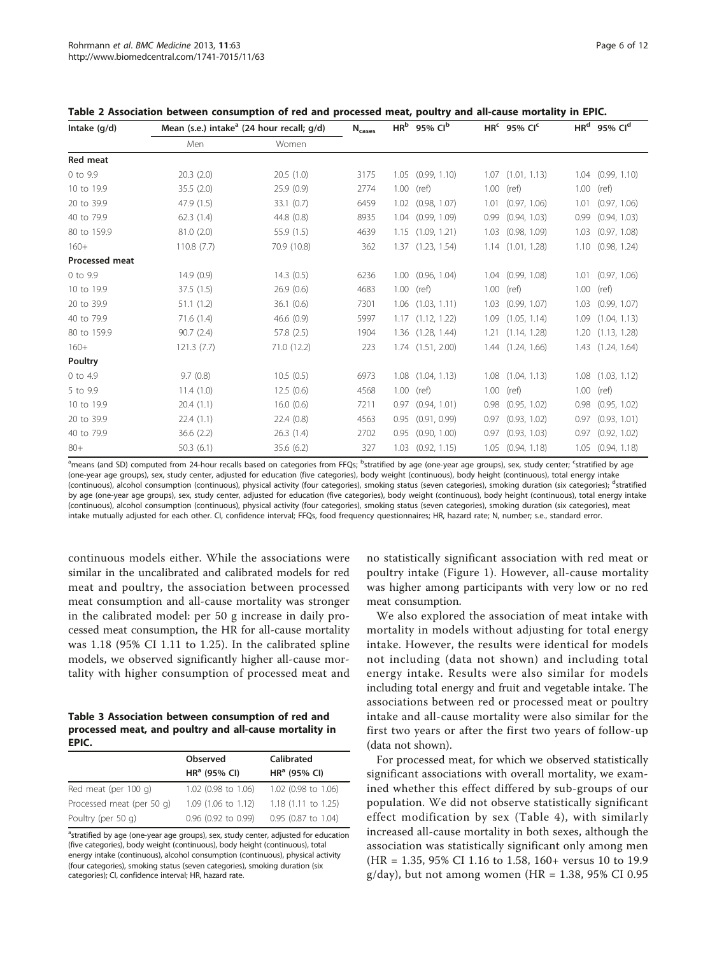| Intake (g/d)   |                           | Mean (s.e.) intake <sup>a</sup> (24 hour recall; g/d) | $N_{cases}$ |      | $HRb$ 95% CI <sup>b</sup> |      | HR <sup>c</sup> 95% CI <sup>c</sup> |      | $HRd$ 95% Cl <sup>d</sup> |
|----------------|---------------------------|-------------------------------------------------------|-------------|------|---------------------------|------|-------------------------------------|------|---------------------------|
|                | Men                       | Women                                                 |             |      |                           |      |                                     |      |                           |
| Red meat       |                           |                                                       |             |      |                           |      |                                     |      |                           |
| 0 to 9.9       | 20.3(2.0)                 | 20.5(1.0)                                             | 3175        |      | $1.05$ $(0.99, 1.10)$     | 1.07 | (1.01, 1.13)                        |      | 1.04 (0.99, 1.10)         |
| 10 to 19.9     | 35.5(2.0)                 | 25.9(0.9)                                             | 2774        | 1.00 | (ref)                     | 1.00 | (ref)                               | 1.00 | (ref)                     |
| 20 to 39.9     | 47.9 (1.5)                | 33.1(0.7)                                             | 6459        | 1.02 | (0.98, 1.07)              | 1.01 | (0.97, 1.06)                        | 1.01 | (0.97, 1.06)              |
| 40 to 79.9     | 62.3(1.4)                 | 44.8 (0.8)                                            |             | 1.04 | (0.99, 1.09)              | 0.99 | (0.94, 1.03)                        | 0.99 | (0.94, 1.03)              |
| 80 to 159.9    | 81.0 (2.0)                | 55.9 (1.5)                                            |             | 1.15 | (1.09, 1.21)              | 1.03 | (0.98, 1.09)                        | 1.03 | (0.97, 1.08)              |
| $160+$         | 110.8(7.7)<br>70.9 (10.8) |                                                       | 362         |      | $1.37$ $(1.23, 1.54)$     | 1.14 | (1.01, 1.28)                        | 1.10 | (0.98, 1.24)              |
| Processed meat |                           |                                                       |             |      |                           |      |                                     |      |                           |
| 0 to 9.9       | 14.9(0.9)                 | 14.3(0.5)                                             | 6236        | 1.00 | (0.96, 1.04)              | 1.04 | (0.99, 1.08)                        | 1.01 | (0.97, 1.06)              |
| 10 to 19.9     | 37.5 (1.5)                | 26.9(0.6)                                             | 4683        | 1.00 | (ref)                     | 1.00 | (ref)                               | 1.00 | (ref)                     |
| 20 to 39.9     | 51.1(1.2)                 | 36.1(0.6)                                             | 7301        | 1.06 | (1.03, 1.11)              | 1.03 | (0.99, 1.07)                        | 1.03 | (0.99, 1.07)              |
| 40 to 79.9     | 71.6(1.4)                 | 46.6(0.9)                                             | 5997        | 1.17 | (1.12, 1.22)              | 1.09 | (1.05, 1.14)                        | 1.09 | (1.04, 1.13)              |
| 80 to 159.9    | 90.7(2.4)                 | 57.8 (2.5)                                            | 1904        |      | 1.36 (1.28, 1.44)         | 1.21 | (1.14, 1.28)                        | 1.20 | (1.13, 1.28)              |
| $160+$         | 121.3(7.7)                | 71.0 (12.2)                                           | 223         |      | $1.74$ $(1.51, 2.00)$     |      | 1.44 (1.24, 1.66)                   | 1.43 | (1.24, 1.64)              |
| Poultry        |                           |                                                       |             |      |                           |      |                                     |      |                           |
| 0 to 4.9       | 9.7(0.8)                  | 10.5(0.5)                                             | 6973        | 1.08 | (1.04, 1.13)              | 1.08 | (1.04, 1.13)                        | 1.08 | (1.03, 1.12)              |
| 5 to 9.9       | 11.4(1.0)                 | 12.5(0.6)                                             | 4568        | 1.00 | (ref)                     | 1.00 | (ref)                               | 1.00 | (ref)                     |
| 10 to 19.9     | 20.4(1.1)                 | 16.0(0.6)                                             | 7211        | 0.97 | (0.94, 1.01)              | 0.98 | (0.95, 1.02)                        | 0.98 | (0.95, 1.02)              |
| 20 to 39.9     | 22.4(1.1)                 | 22.4(0.8)                                             | 4563        | 0.95 | (0.91, 0.99)              | 0.97 | (0.93, 1.02)                        | 0.97 | (0.93, 1.01)              |
| 40 to 79.9     | 36.6(2.2)                 | 26.3(1.4)                                             | 2702        | 0.95 | (0.90, 1.00)              | 0.97 | (0.93, 1.03)                        | 0.97 | (0.92, 1.02)              |
| $80+$          | 50.3(6.1)                 | 35.6 (6.2)                                            | 327         | 1.03 | (0.92, 1.15)              | 1.05 | (0.94, 1.18)                        | 1.05 | (0.94, 1.18)              |

<span id="page-5-0"></span>

<sup>a</sup>means (and SD) computed from 24-hour recalls based on categories from FFQs; <sup>b</sup>stratified by age (one-year age groups), sex, study center; <sup>c</sup>stratified by age (one-year age groups), sex, study center, adjusted for education (five categories), body weight (continuous), body height (continuous), total energy intake (continuous), alcohol consumption (continuous), physical activity (four categories), smoking status (seven categories), smoking duration (six categories); <sup>d</sup>stratified by age (one-year age groups), sex, study center, adjusted for education (five categories), body weight (continuous), body height (continuous), total energy intake (continuous), alcohol consumption (continuous), physical activity (four categories), smoking status (seven categories), smoking duration (six categories), meat intake mutually adjusted for each other. CI, confidence interval; FFQs, food frequency questionnaires; HR, hazard rate; N, number; s.e., standard error.

continuous models either. While the associations were similar in the uncalibrated and calibrated models for red meat and poultry, the association between processed meat consumption and all-cause mortality was stronger in the calibrated model: per 50 g increase in daily processed meat consumption, the HR for all-cause mortality was 1.18 (95% CI 1.11 to 1.25). In the calibrated spline models, we observed significantly higher all-cause mortality with higher consumption of processed meat and

Table 3 Association between consumption of red and processed meat, and poultry and all-cause mortality in EPIC.

|                           | <b>Observed</b>     | <b>Calibrated</b>     |
|---------------------------|---------------------|-----------------------|
|                           | $HRa$ (95% CI)      | $HRa$ (95% CI)        |
| Red meat (per 100 g)      | 1.02 (0.98 to 1.06) | 1.02 (0.98 to 1.06)   |
| Processed meat (per 50 g) | 1.09 (1.06 to 1.12) | $1.18$ (1.11 to 1.25) |
| Poultry (per 50 g)        | 0.96 (0.92 to 0.99) | 0.95 (0.87 to 1.04)   |

<sup>a</sup>stratified by age (one-year age groups), sex, study center, adjusted for education (five categories), body weight (continuous), body height (continuous), total energy intake (continuous), alcohol consumption (continuous), physical activity (four categories), smoking status (seven categories), smoking duration (six categories); CI, confidence interval; HR, hazard rate.

no statistically significant association with red meat or poultry intake (Figure [1](#page-6-0)). However, all-cause mortality was higher among participants with very low or no red meat consumption.

We also explored the association of meat intake with mortality in models without adjusting for total energy intake. However, the results were identical for models not including (data not shown) and including total energy intake. Results were also similar for models including total energy and fruit and vegetable intake. The associations between red or processed meat or poultry intake and all-cause mortality were also similar for the first two years or after the first two years of follow-up (data not shown).

For processed meat, for which we observed statistically significant associations with overall mortality, we examined whether this effect differed by sub-groups of our population. We did not observe statistically significant effect modification by sex (Table [4](#page-7-0)), with similarly increased all-cause mortality in both sexes, although the association was statistically significant only among men (HR = 1.35, 95% CI 1.16 to 1.58, 160+ versus 10 to 19.9 g/day), but not among women (HR =  $1.38$ , 95% CI 0.95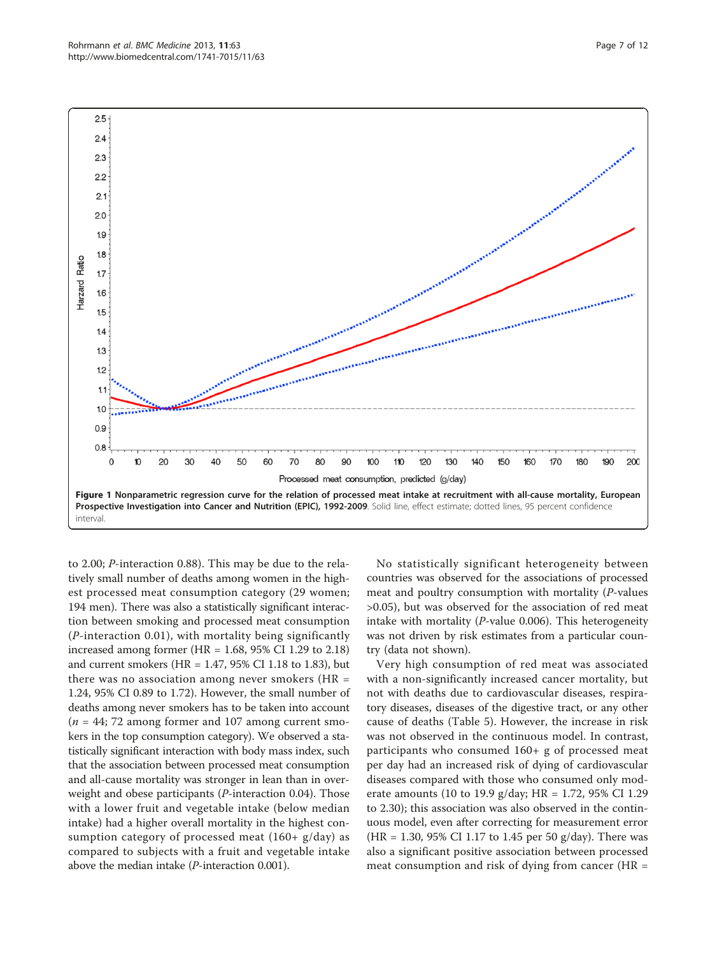to 2.00; P-interaction 0.88). This may be due to the relatively small number of deaths among women in the highest processed meat consumption category (29 women; 194 men). There was also a statistically significant interaction between smoking and processed meat consumption (P-interaction 0.01), with mortality being significantly increased among former (HR = 1.68, 95% CI 1.29 to 2.18) and current smokers ( $HR = 1.47$ , 95% CI 1.18 to 1.83), but there was no association among never smokers ( $HR =$ 1.24, 95% CI 0.89 to 1.72). However, the small number of deaths among never smokers has to be taken into account  $(n = 44; 72$  among former and 107 among current smokers in the top consumption category). We observed a statistically significant interaction with body mass index, such that the association between processed meat consumption and all-cause mortality was stronger in lean than in overweight and obese participants (P-interaction 0.04). Those with a lower fruit and vegetable intake (below median intake) had a higher overall mortality in the highest consumption category of processed meat  $(160 + g/day)$  as compared to subjects with a fruit and vegetable intake

above the median intake (P-interaction 0.001).

No statistically significant heterogeneity between countries was observed for the associations of processed meat and poultry consumption with mortality (P-values >0.05), but was observed for the association of red meat intake with mortality (P-value 0.006). This heterogeneity was not driven by risk estimates from a particular country (data not shown).

Very high consumption of red meat was associated with a non-significantly increased cancer mortality, but not with deaths due to cardiovascular diseases, respiratory diseases, diseases of the digestive tract, or any other cause of deaths (Table [5](#page-8-0)). However, the increase in risk was not observed in the continuous model. In contrast, participants who consumed 160+ g of processed meat per day had an increased risk of dying of cardiovascular diseases compared with those who consumed only moderate amounts (10 to 19.9 g/day; HR = 1.72, 95% CI 1.29 to 2.30); this association was also observed in the continuous model, even after correcting for measurement error  $(HR = 1.30, 95\% \text{ CI } 1.17 \text{ to } 1.45 \text{ per } 50 \text{ g/day})$ . There was also a significant positive association between processed meat consumption and risk of dying from cancer (HR =

<span id="page-6-0"></span>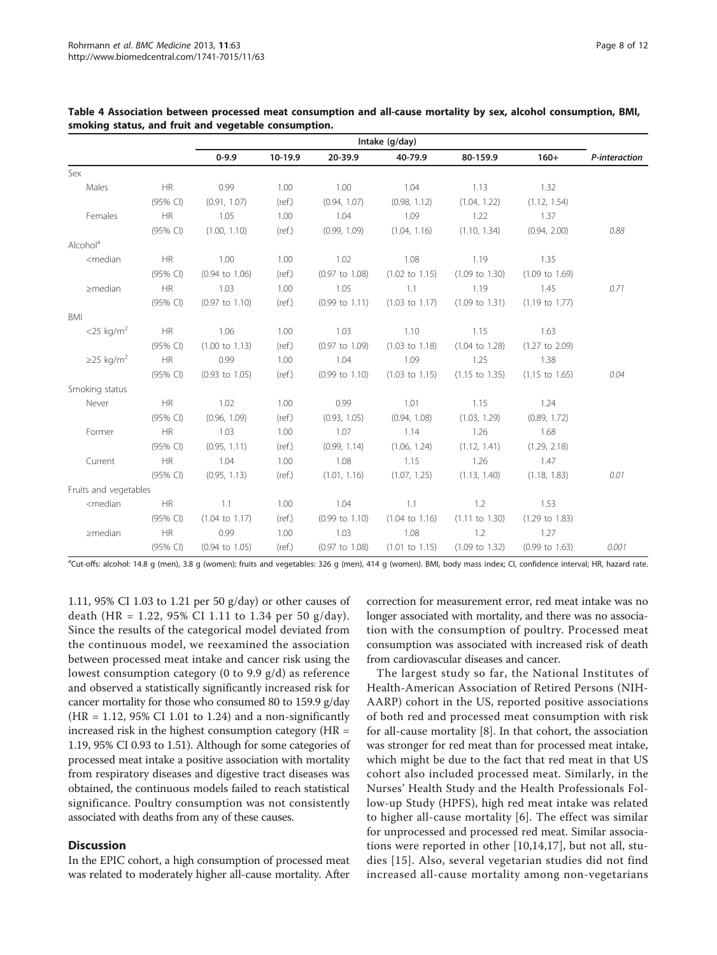|                                                                                                                                    |            | Intake (g/day)            |         |                           |                           |                           |                           |               |  |  |  |
|------------------------------------------------------------------------------------------------------------------------------------|------------|---------------------------|---------|---------------------------|---------------------------|---------------------------|---------------------------|---------------|--|--|--|
|                                                                                                                                    |            | $0 - 9.9$                 | 10-19.9 | 20-39.9                   | 40-79.9                   | 80-159.9                  | $160+$                    | P-interaction |  |  |  |
| Sex                                                                                                                                |            |                           |         |                           |                           |                           |                           |               |  |  |  |
| Males                                                                                                                              | <b>HR</b>  | 0.99                      | 1.00    | 1.00                      | 1.04                      | 1.13                      | 1.32                      |               |  |  |  |
|                                                                                                                                    | (95% CI)   | (0.91, 1.07)              | (ref.)  | (0.94, 1.07)              | (0.98, 1.12)              | (1.04, 1.22)              | (1.12, 1.54)              |               |  |  |  |
| Females                                                                                                                            | <b>HR</b>  | 1.05                      | 1.00    | 1.04                      | 1.09                      | 1.22                      | 1.37                      |               |  |  |  |
|                                                                                                                                    | (95% CI)   | (1.00, 1.10)              | (ref.)  | (0.99, 1.09)              | (1.04, 1.16)              | (1.10, 1.34)              | (0.94, 2.00)              | 0.88          |  |  |  |
| Alcohol <sup>a</sup>                                                                                                               |            |                           |         |                           |                           |                           |                           |               |  |  |  |
| <median< td=""><td><b>HR</b></td><td>1.00</td><td>1.00</td><td>1.02</td><td>1.08</td><td>1.19</td><td>1.35</td><td></td></median<> | <b>HR</b>  | 1.00                      | 1.00    | 1.02                      | 1.08                      | 1.19                      | 1.35                      |               |  |  |  |
|                                                                                                                                    | (95% CI)   | $(0.94 \text{ to } 1.06)$ | (ref.)  | $(0.97 \text{ to } 1.08)$ | $(1.02 \text{ to } 1.15)$ | $(1.09 \text{ to } 1.30)$ | $(1.09 \text{ to } 1.69)$ |               |  |  |  |
| $\geq$ median                                                                                                                      | <b>HR</b>  | 1.03                      | 1.00    | 1.05                      | 1.1                       | 1.19                      | 1.45                      | 0.71          |  |  |  |
|                                                                                                                                    | (95% CI)   | $(0.97 \text{ to } 1.10)$ | (ref.)  | $(0.99 \text{ to } 1.11)$ | $(1.03 \text{ to } 1.17)$ | $(1.09 \text{ to } 1.31)$ | $(1.19 \text{ to } 1.77)$ |               |  |  |  |
| <b>BMI</b>                                                                                                                         |            |                           |         |                           |                           |                           |                           |               |  |  |  |
| $<$ 25 kg/m <sup>2</sup>                                                                                                           | <b>HR</b>  | 1.06                      | 1.00    | 1.03                      | 1.10                      | 1.15                      | 1.63                      |               |  |  |  |
|                                                                                                                                    | (95% CI)   | $(1.00 \text{ to } 1.13)$ | (ref.)  | $(0.97 \text{ to } 1.09)$ | $(1.03 \text{ to } 1.18)$ | $(1.04 \text{ to } 1.28)$ | $(1.27 \text{ to } 2.09)$ |               |  |  |  |
| $\geq$ 25 kg/m <sup>2</sup>                                                                                                        | <b>HR</b>  | 0.99                      | 1.00    | 1.04                      | 1.09                      | 1.25                      | 1.38                      |               |  |  |  |
|                                                                                                                                    | $(95%$ CI) | $(0.93 \text{ to } 1.05)$ | (ref.)  | $(0.99 \text{ to } 1.10)$ | $(1.03 \text{ to } 1.15)$ | $(1.15 \text{ to } 1.35)$ | $(1.15 \text{ to } 1.65)$ | 0.04          |  |  |  |
| Smoking status                                                                                                                     |            |                           |         |                           |                           |                           |                           |               |  |  |  |
| Never                                                                                                                              | <b>HR</b>  | 1.02                      | 1.00    | 0.99                      | 1.01                      | 1.15                      | 1.24                      |               |  |  |  |
|                                                                                                                                    | (95% CI)   | (0.96, 1.09)              | (ref.)  | (0.93, 1.05)              | (0.94, 1.08)              | (1.03, 1.29)              | (0.89, 1.72)              |               |  |  |  |
| Former                                                                                                                             | <b>HR</b>  | 1.03                      | 1.00    | 1.07                      | 1.14                      | 1.26                      | 1.68                      |               |  |  |  |
|                                                                                                                                    | (95% CI)   | (0.95, 1.11)              | (ref.)  | (0.99, 1.14)              | (1.06, 1.24)              | (1.12, 1.41)              | (1.29, 2.18)              |               |  |  |  |
| Current                                                                                                                            | <b>HR</b>  | 1.04                      | 1.00    | 1.08                      | 1.15                      | 1.26                      | 1.47                      |               |  |  |  |
|                                                                                                                                    | (95% CI)   | (0.95, 1.13)              | (ref.)  | (1.01, 1.16)              | (1.07, 1.25)              | (1.13, 1.40)              | (1.18, 1.83)              | 0.01          |  |  |  |
| Fruits and vegetables                                                                                                              |            |                           |         |                           |                           |                           |                           |               |  |  |  |
| <median< td=""><td><b>HR</b></td><td>1.1</td><td>1.00</td><td>1.04</td><td>1.1</td><td>1.2</td><td>1.53</td><td></td></median<>    | <b>HR</b>  | 1.1                       | 1.00    | 1.04                      | 1.1                       | 1.2                       | 1.53                      |               |  |  |  |
|                                                                                                                                    | $(95%$ CI) | $(1.04 \text{ to } 1.17)$ | (ref.)  | $(0.99 \text{ to } 1.10)$ | $(1.04 \text{ to } 1.16)$ | $(1.11$ to $1.30)$        | $(1.29 \text{ to } 1.83)$ |               |  |  |  |
| $\geq$ median                                                                                                                      | <b>HR</b>  | 0.99                      | 1.00    | 1.03                      | 1.08                      | 1.2                       | 1.27                      |               |  |  |  |
|                                                                                                                                    | (95% CI)   | $(0.94 \text{ to } 1.05)$ | (ref.)  | $(0.97 \text{ to } 1.08)$ | $(1.01 \text{ to } 1.15)$ | $(1.09 \text{ to } 1.32)$ | $(0.99 \text{ to } 1.63)$ | 0.001         |  |  |  |

<span id="page-7-0"></span>Table 4 Association between processed meat consumption and all-cause mortality by sex, alcohol consumption, BMI, smoking status, and fruit and vegetable consumption.

<sup>a</sup>Cut-offs: alcohol: 14.8 g (men), 3.8 g (women); fruits and vegetables: 326 g (men), 414 g (women). BMI, body mass index; CI, confidence interval; HR, hazard rate.

1.11, 95% CI 1.03 to 1.21 per 50 g/day) or other causes of death (HR = 1.22, 95% CI 1.11 to 1.34 per 50 g/day). Since the results of the categorical model deviated from the continuous model, we reexamined the association between processed meat intake and cancer risk using the lowest consumption category (0 to 9.9 g/d) as reference and observed a statistically significantly increased risk for cancer mortality for those who consumed 80 to 159.9 g/day (HR = 1.12, 95% CI 1.01 to 1.24) and a non-significantly increased risk in the highest consumption category (HR = 1.19, 95% CI 0.93 to 1.51). Although for some categories of processed meat intake a positive association with mortality from respiratory diseases and digestive tract diseases was obtained, the continuous models failed to reach statistical significance. Poultry consumption was not consistently associated with deaths from any of these causes.

## **Discussion**

In the EPIC cohort, a high consumption of processed meat was related to moderately higher all-cause mortality. After

correction for measurement error, red meat intake was no longer associated with mortality, and there was no association with the consumption of poultry. Processed meat consumption was associated with increased risk of death from cardiovascular diseases and cancer.

The largest study so far, the National Institutes of Health-American Association of Retired Persons (NIH-AARP) cohort in the US, reported positive associations of both red and processed meat consumption with risk for all-cause mortality [[8\]](#page-10-0). In that cohort, the association was stronger for red meat than for processed meat intake, which might be due to the fact that red meat in that US cohort also included processed meat. Similarly, in the Nurses' Health Study and the Health Professionals Follow-up Study (HPFS), high red meat intake was related to higher all-cause mortality [[6\]](#page-10-0). The effect was similar for unprocessed and processed red meat. Similar associations were reported in other [[10,](#page-10-0)[14](#page-11-0),[17\]](#page-11-0), but not all, studies [\[15\]](#page-11-0). Also, several vegetarian studies did not find increased all-cause mortality among non-vegetarians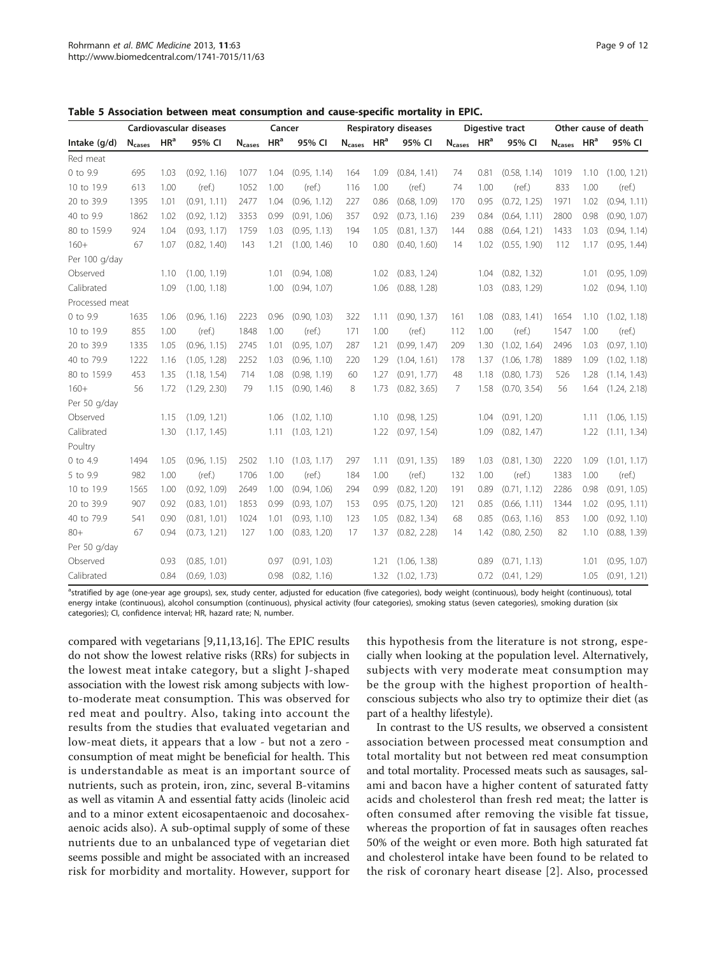|                | Cardiovascular diseases |                 |              |             | Cancer          |              |             |                 | <b>Respiratory diseases</b> |             |                 | Digestive tract | Other cause of death |                 |              |  |
|----------------|-------------------------|-----------------|--------------|-------------|-----------------|--------------|-------------|-----------------|-----------------------------|-------------|-----------------|-----------------|----------------------|-----------------|--------------|--|
| Intake $(g/d)$ | N <sub>cases</sub>      | HR <sup>a</sup> | 95% CI       | $N_{cases}$ | HR <sup>a</sup> | 95% CI       | $N_{cases}$ | HR <sup>a</sup> | 95% CI                      | $N_{cases}$ | HR <sup>a</sup> | 95% CI          | $N_{cases}$          | HR <sup>a</sup> | 95% CI       |  |
| Red meat       |                         |                 |              |             |                 |              |             |                 |                             |             |                 |                 |                      |                 |              |  |
| 0 to 9.9       | 695                     | 1.03            | (0.92, 1.16) | 1077        | 1.04            | (0.95, 1.14) | 164         | 1.09            | (0.84, 1.41)                | 74          | 0.81            | (0.58, 1.14)    | 1019                 | 1.10            | (1.00, 1.21) |  |
| 10 to 19.9     | 613                     | 1.00            | (ref.)       | 1052        | 1.00            | (ref.)       | 116         | 1.00            | (ref.)                      | 74          | 1.00            | (ref.)          | 833                  | 1.00            | (ref.)       |  |
| 20 to 39.9     | 1395                    | 1.01            | (0.91, 1.11) | 2477        | 1.04            | (0.96, 1.12) | 227         | 0.86            | (0.68, 1.09)                | 170         | 0.95            | (0.72, 1.25)    | 1971                 | 1.02            | (0.94, 1.11) |  |
| 40 to 9.9      | 1862                    | 1.02            | (0.92, 1.12) | 3353        | 0.99            | (0.91, 1.06) | 357         | 0.92            | (0.73, 1.16)                | 239         | 0.84            | (0.64, 1.11)    | 2800                 | 0.98            | (0.90, 1.07) |  |
| 80 to 159.9    | 924                     | 1.04            | (0.93, 1.17) | 1759        | 1.03            | (0.95, 1.13) | 194         | 1.05            | (0.81, 1.37)                | 144         | 0.88            | (0.64, 1.21)    | 1433                 | 1.03            | (0.94, 1.14) |  |
| $160+$         | 67                      | 1.07            | (0.82, 1.40) | 143         | 1.21            | (1.00, 1.46) | 10          | 0.80            | (0.40, 1.60)                | 14          | 1.02            | (0.55, 1.90)    | 112                  | 1.17            | (0.95, 1.44) |  |
| Per 100 g/day  |                         |                 |              |             |                 |              |             |                 |                             |             |                 |                 |                      |                 |              |  |
| Observed       |                         | 1.10            | (1.00, 1.19) |             | 1.01            | (0.94, 1.08) |             | 1.02            | (0.83, 1.24)                |             | 1.04            | (0.82, 1.32)    |                      | 1.01            | (0.95, 1.09) |  |
| Calibrated     |                         | 1.09            | (1.00, 1.18) |             | 1.00            | (0.94, 1.07) |             | 1.06            | (0.88, 1.28)                |             | 1.03            | (0.83, 1.29)    |                      | 1.02            | (0.94, 1.10) |  |
| Processed meat |                         |                 |              |             |                 |              |             |                 |                             |             |                 |                 |                      |                 |              |  |
| 0 to 9.9       | 1635                    | 1.06            | (0.96, 1.16) | 2223        | 0.96            | (0.90, 1.03) | 322         | 1.11            | (0.90, 1.37)                | 161         | 1.08            | (0.83, 1.41)    | 1654                 | 1.10            | (1.02, 1.18) |  |
| 10 to 19.9     | 855                     | 1.00            | (ref.)       | 1848        | 1.00            | (ref.)       | 171         | 1.00            | (ref.)                      | 112         | 1.00            | (ref.)          | 1547                 | 1.00            | (ref.)       |  |
| 20 to 39.9     | 1335                    | 1.05            | (0.96, 1.15) | 2745        | 1.01            | (0.95, 1.07) | 287         | 1.21            | (0.99, 1.47)                | 209         | 1.30            | (1.02, 1.64)    | 2496                 | 1.03            | (0.97, 1.10) |  |
| 40 to 79.9     | 1222                    | 1.16            | (1.05, 1.28) | 2252        | 1.03            | (0.96, 1.10) | 220         | 1.29            | (1.04, 1.61)                | 178         | 1.37            | (1.06, 1.78)    | 1889                 | 1.09            | (1.02, 1.18) |  |
| 80 to 159.9    | 453                     | 1.35            | (1.18, 1.54) | 714         | 1.08            | (0.98, 1.19) | 60          | 1.27            | (0.91, 1.77)                | 48          | 1.18            | (0.80, 1.73)    | 526                  | 1.28            | (1.14, 1.43) |  |
| $160+$         | 56                      | 1.72            | (1.29, 2.30) | 79          | 1.15            | (0.90, 1.46) | 8           | 1.73            | (0.82, 3.65)                | 7           | 1.58            | (0.70, 3.54)    | 56                   | 1.64            | (1.24, 2.18) |  |
| Per 50 g/day   |                         |                 |              |             |                 |              |             |                 |                             |             |                 |                 |                      |                 |              |  |
| Observed       |                         | 1.15            | (1.09, 1.21) |             | 1.06            | (1.02, 1.10) |             | 1.10            | (0.98, 1.25)                |             | 1.04            | (0.91, 1.20)    |                      | 1.11            | (1.06, 1.15) |  |
| Calibrated     |                         | 1.30            | (1.17, 1.45) |             | 1.11            | (1.03, 1.21) |             | 1.22            | (0.97, 1.54)                |             | 1.09            | (0.82, 1.47)    |                      | 1.22            | (1.11, 1.34) |  |
| Poultry        |                         |                 |              |             |                 |              |             |                 |                             |             |                 |                 |                      |                 |              |  |
| 0 to 4.9       | 1494                    | 1.05            | (0.96, 1.15) | 2502        | 1.10            | (1.03, 1.17) | 297         | 1.11            | (0.91, 1.35)                | 189         | 1.03            | (0.81, 1.30)    | 2220                 | 1.09            | (1.01, 1.17) |  |
| 5 to 9.9       | 982                     | 1.00            | (ref.)       | 1706        | 1.00            | (ref.)       | 184         | 1.00            | (ref.)                      | 132         | 1.00            | (ref.)          | 1383                 | 1.00            | (ref.)       |  |
| 10 to 19.9     | 1565                    | 1.00            | (0.92, 1.09) | 2649        | 1.00            | (0.94, 1.06) | 294         | 0.99            | (0.82, 1.20)                | 191         | 0.89            | (0.71, 1.12)    | 2286                 | 0.98            | (0.91, 1.05) |  |
| 20 to 39.9     | 907                     | 0.92            | (0.83, 1.01) | 1853        | 0.99            | (0.93, 1.07) | 153         | 0.95            | (0.75, 1.20)                | 121         | 0.85            | (0.66, 1.11)    | 1344                 | 1.02            | (0.95, 1.11) |  |
| 40 to 79.9     | 541                     | 0.90            | (0.81, 1.01) | 1024        | 1.01            | (0.93, 1.10) | 123         | 1.05            | (0.82, 1.34)                | 68          | 0.85            | (0.63, 1.16)    | 853                  | 1.00            | (0.92, 1.10) |  |
| $80+$          | 67                      | 0.94            | (0.73, 1.21) | 127         | 1.00            | (0.83, 1.20) | 17          | 1.37            | (0.82, 2.28)                | 14          | 1.42            | (0.80, 2.50)    | 82                   | 1.10            | (0.88, 1.39) |  |
| Per 50 g/day   |                         |                 |              |             |                 |              |             |                 |                             |             |                 |                 |                      |                 |              |  |
| Observed       |                         | 0.93            | (0.85, 1.01) |             | 0.97            | (0.91, 1.03) |             | 1.21            | (1.06, 1.38)                |             | 0.89            | (0.71, 1.13)    |                      | 1.01            | (0.95, 1.07) |  |
| Calibrated     |                         | 0.84            | (0.69, 1.03) |             | 0.98            | (0.82, 1.16) |             |                 | 1.32 (1.02, 1.73)           |             | 0.72            | (0.41, 1.29)    |                      | 1.05            | (0.91, 1.21) |  |

<span id="page-8-0"></span>Table 5 Association between meat consumption and cause-specific mortality in EPIC.

<sup>a</sup>stratified by age (one-year age groups), sex, study center, adjusted for education (five categories), body weight (continuous), body height (continuous), total energy intake (continuous), alcohol consumption (continuous), physical activity (four categories), smoking status (seven categories), smoking duration (six categories); CI, confidence interval; HR, hazard rate; N, number.

compared with vegetarians [\[9,11,13,](#page-10-0)[16\]](#page-11-0). The EPIC results do not show the lowest relative risks (RRs) for subjects in the lowest meat intake category, but a slight J-shaped association with the lowest risk among subjects with lowto-moderate meat consumption. This was observed for red meat and poultry. Also, taking into account the results from the studies that evaluated vegetarian and low-meat diets, it appears that a low - but not a zero consumption of meat might be beneficial for health. This is understandable as meat is an important source of nutrients, such as protein, iron, zinc, several B-vitamins as well as vitamin A and essential fatty acids (linoleic acid and to a minor extent eicosapentaenoic and docosahexaenoic acids also). A sub-optimal supply of some of these nutrients due to an unbalanced type of vegetarian diet seems possible and might be associated with an increased risk for morbidity and mortality. However, support for

this hypothesis from the literature is not strong, especially when looking at the population level. Alternatively, subjects with very moderate meat consumption may be the group with the highest proportion of healthconscious subjects who also try to optimize their diet (as part of a healthy lifestyle).

In contrast to the US results, we observed a consistent association between processed meat consumption and total mortality but not between red meat consumption and total mortality. Processed meats such as sausages, salami and bacon have a higher content of saturated fatty acids and cholesterol than fresh red meat; the latter is often consumed after removing the visible fat tissue, whereas the proportion of fat in sausages often reaches 50% of the weight or even more. Both high saturated fat and cholesterol intake have been found to be related to the risk of coronary heart disease [[2](#page-10-0)]. Also, processed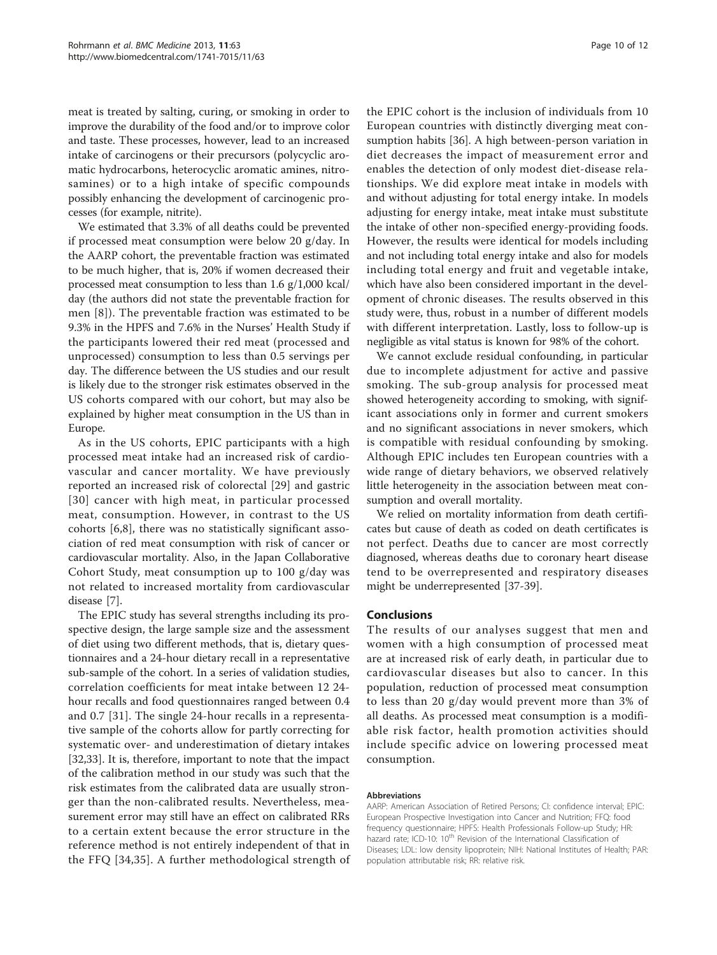meat is treated by salting, curing, or smoking in order to improve the durability of the food and/or to improve color and taste. These processes, however, lead to an increased intake of carcinogens or their precursors (polycyclic aromatic hydrocarbons, heterocyclic aromatic amines, nitrosamines) or to a high intake of specific compounds possibly enhancing the development of carcinogenic processes (for example, nitrite).

We estimated that 3.3% of all deaths could be prevented if processed meat consumption were below 20 g/day. In the AARP cohort, the preventable fraction was estimated to be much higher, that is, 20% if women decreased their processed meat consumption to less than 1.6 g/1,000 kcal/ day (the authors did not state the preventable fraction for men [[8\]](#page-10-0)). The preventable fraction was estimated to be 9.3% in the HPFS and 7.6% in the Nurses' Health Study if the participants lowered their red meat (processed and unprocessed) consumption to less than 0.5 servings per day. The difference between the US studies and our result is likely due to the stronger risk estimates observed in the US cohorts compared with our cohort, but may also be explained by higher meat consumption in the US than in Europe.

As in the US cohorts, EPIC participants with a high processed meat intake had an increased risk of cardiovascular and cancer mortality. We have previously reported an increased risk of colorectal [\[29](#page-11-0)] and gastric [[30](#page-11-0)] cancer with high meat, in particular processed meat, consumption. However, in contrast to the US cohorts [[6,8\]](#page-10-0), there was no statistically significant association of red meat consumption with risk of cancer or cardiovascular mortality. Also, in the Japan Collaborative Cohort Study, meat consumption up to 100 g/day was not related to increased mortality from cardiovascular disease [\[7](#page-10-0)].

The EPIC study has several strengths including its prospective design, the large sample size and the assessment of diet using two different methods, that is, dietary questionnaires and a 24-hour dietary recall in a representative sub-sample of the cohort. In a series of validation studies, correlation coefficients for meat intake between 12 24 hour recalls and food questionnaires ranged between 0.4 and 0.7 [\[31\]](#page-11-0). The single 24-hour recalls in a representative sample of the cohorts allow for partly correcting for systematic over- and underestimation of dietary intakes [[32,33\]](#page-11-0). It is, therefore, important to note that the impact of the calibration method in our study was such that the risk estimates from the calibrated data are usually stronger than the non-calibrated results. Nevertheless, measurement error may still have an effect on calibrated RRs to a certain extent because the error structure in the reference method is not entirely independent of that in the FFQ [[34,35\]](#page-11-0). A further methodological strength of

the EPIC cohort is the inclusion of individuals from 10 European countries with distinctly diverging meat consumption habits [\[36](#page-11-0)]. A high between-person variation in diet decreases the impact of measurement error and enables the detection of only modest diet-disease relationships. We did explore meat intake in models with and without adjusting for total energy intake. In models adjusting for energy intake, meat intake must substitute the intake of other non-specified energy-providing foods. However, the results were identical for models including and not including total energy intake and also for models including total energy and fruit and vegetable intake, which have also been considered important in the development of chronic diseases. The results observed in this study were, thus, robust in a number of different models with different interpretation. Lastly, loss to follow-up is negligible as vital status is known for 98% of the cohort.

We cannot exclude residual confounding, in particular due to incomplete adjustment for active and passive smoking. The sub-group analysis for processed meat showed heterogeneity according to smoking, with significant associations only in former and current smokers and no significant associations in never smokers, which is compatible with residual confounding by smoking. Although EPIC includes ten European countries with a wide range of dietary behaviors, we observed relatively little heterogeneity in the association between meat consumption and overall mortality.

We relied on mortality information from death certificates but cause of death as coded on death certificates is not perfect. Deaths due to cancer are most correctly diagnosed, whereas deaths due to coronary heart disease tend to be overrepresented and respiratory diseases might be underrepresented [\[37](#page-11-0)-[39](#page-11-0)].

## Conclusions

The results of our analyses suggest that men and women with a high consumption of processed meat are at increased risk of early death, in particular due to cardiovascular diseases but also to cancer. In this population, reduction of processed meat consumption to less than 20 g/day would prevent more than 3% of all deaths. As processed meat consumption is a modifiable risk factor, health promotion activities should include specific advice on lowering processed meat consumption.

## Abbreviations

AARP: American Association of Retired Persons; CI: confidence interval; EPIC: European Prospective Investigation into Cancer and Nutrition; FFQ: food frequency questionnaire; HPFS: Health Professionals Follow-up Study; HR: hazard rate; ICD-10: 10<sup>th</sup> Revision of the International Classification of Diseases; LDL: low density lipoprotein; NIH: National Institutes of Health; PAR: population attributable risk; RR: relative risk.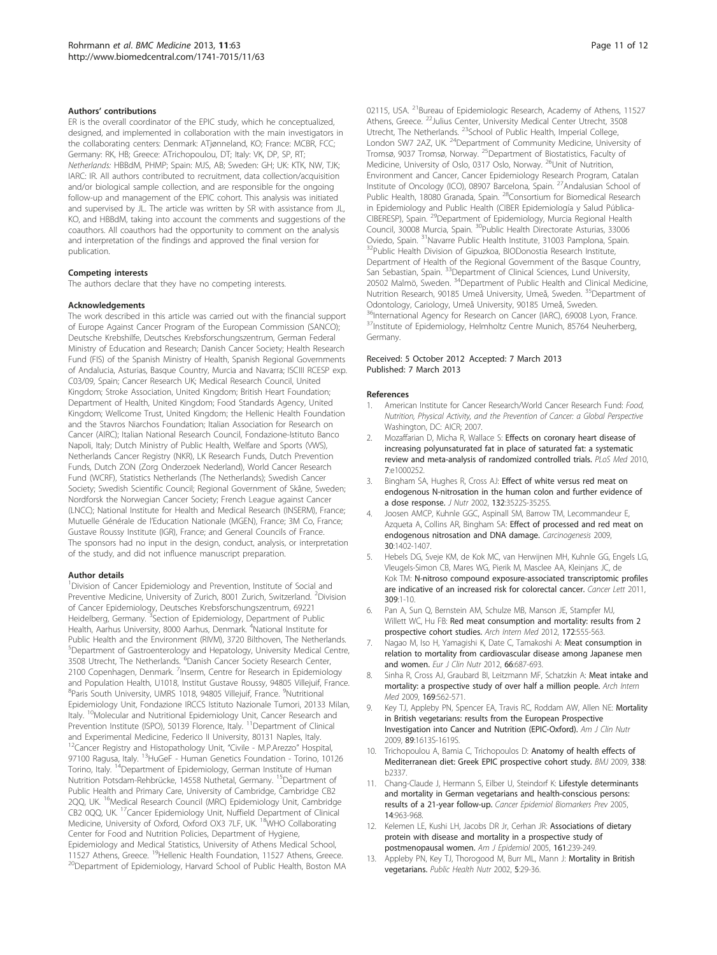#### <span id="page-10-0"></span>Authors' contributions

ER is the overall coordinator of the EPIC study, which he conceptualized, designed, and implemented in collaboration with the main investigators in the collaborating centers: Denmark: ATjønneland, KO; France: MCBR, FCC; Germany: RK, HB; Greece: ATrichopoulou, DT; Italy: VK, DP, SP, RT; Netherlands: HBBdM, PHMP; Spain: MJS, AB; Sweden: GH; UK: KTK, NW, TJK; IARC: IR. All authors contributed to recruitment, data collection/acquisition and/or biological sample collection, and are responsible for the ongoing follow-up and management of the EPIC cohort. This analysis was initiated and supervised by JL. The article was written by SR with assistance from JL, KO, and HBBdM, taking into account the comments and suggestions of the coauthors. All coauthors had the opportunity to comment on the analysis and interpretation of the findings and approved the final version for publication.

#### Competing interests

The authors declare that they have no competing interests.

#### Acknowledgements

The work described in this article was carried out with the financial support of Europe Against Cancer Program of the European Commission (SANCO); Deutsche Krebshilfe, Deutsches Krebsforschungszentrum, German Federal Ministry of Education and Research; Danish Cancer Society; Health Research Fund (FIS) of the Spanish Ministry of Health, Spanish Regional Governments of Andalucia, Asturias, Basque Country, Murcia and Navarra; ISCIII RCESP exp. C03/09, Spain; Cancer Research UK; Medical Research Council, United Kingdom; Stroke Association, United Kingdom; British Heart Foundation; Department of Health, United Kingdom; Food Standards Agency, United Kingdom; Wellcome Trust, United Kingdom; the Hellenic Health Foundation and the Stavros Niarchos Foundation; Italian Association for Research on Cancer (AIRC); Italian National Research Council, Fondazione-Istituto Banco Napoli, Italy; Dutch Ministry of Public Health, Welfare and Sports (VWS), Netherlands Cancer Registry (NKR), LK Research Funds, Dutch Prevention Funds, Dutch ZON (Zorg Onderzoek Nederland), World Cancer Research Fund (WCRF), Statistics Netherlands (The Netherlands); Swedish Cancer Society; Swedish Scientific Council; Regional Government of Skåne, Sweden; Nordforsk the Norwegian Cancer Society; French League against Cancer (LNCC); National Institute for Health and Medical Research (INSERM), France; Mutuelle Générale de l'Education Nationale (MGEN), France; 3M Co, France; Gustave Roussy Institute (IGR), France; and General Councils of France. The sponsors had no input in the design, conduct, analysis, or interpretation of the study, and did not influence manuscript preparation.

#### Author details

<sup>1</sup>Division of Cancer Epidemiology and Prevention, Institute of Social and Preventive Medicine, University of Zurich, 8001 Zurich, Switzerland. <sup>2</sup>Division of Cancer Epidemiology, Deutsches Krebsforschungszentrum, 69221 Heidelberg, Germany. <sup>3</sup>Section of Epidemiology, Department of Public Health, Aarhus University, 8000 Aarhus, Denmark. <sup>4</sup>National Institute for Public Health and the Environment (RIVM), 3720 Bilthoven, The Netherlands. 5 Department of Gastroenterology and Hepatology, University Medical Centre, 3508 Utrecht, The Netherlands. <sup>6</sup>Danish Cancer Society Research Center, 2100 Copenhagen, Denmark. <sup>7</sup>Inserm, Centre for Research in Epidemiology and Population Health, U1018, Institut Gustave Roussy, 94805 Villejuif, France. <sup>8</sup>Paris South University, UMRS 1018, 94805 Villejuif, France. <sup>9</sup>Nutritional Epidemiology Unit, Fondazione IRCCS Istituto Nazionale Tumori, 20133 Milan, Italy. <sup>10</sup>Molecular and Nutritional Epidemiology Unit, Cancer Research and Prevention Institute (ISPO), 50139 Florence, Italy. <sup>11</sup> Department of Clinical and Experimental Medicine, Federico II University, 80131 Naples, Italy. <sup>12</sup>Cancer Registry and Histopathology Unit, "Civile - M.P.Arezzo" Hospital, 97100 Ragusa, Italy. 13HuGeF - Human Genetics Foundation - Torino, 10126 Torino, Italy. 14Department of Epidemiology, German Institute of Human Nutrition Potsdam-Rehbrücke, 14558 Nuthetal, Germany. <sup>15</sup>Department of Public Health and Primary Care, University of Cambridge, Cambridge CB2 2QQ, UK. <sup>16</sup>Medical Research Council (MRC) Epidemiology Unit, Cambridge CB2 0QQ, UK. 17Cancer Epidemiology Unit, Nuffield Department of Clinical Medicine, University of Oxford, Oxford OX3 7LF, UK. 18WHO Collaborating Center for Food and Nutrition Policies, Department of Hygiene, Epidemiology and Medical Statistics, University of Athens Medical School,<br>11527 Athens, Greece. <sup>19</sup>Hellenic Health Foundation, 11527 Athens, Greece. <sup>20</sup> Department of Epidemiology, Harvard School of Public Health, Boston MA

02115, USA. <sup>21</sup>Bureau of Epidemiologic Research, Academy of Athens, 11527 Athens, Greece. <sup>22</sup>Julius Center, University Medical Center Utrecht, 3508 Utrecht, The Netherlands. <sup>23</sup>School of Public Health, Imperial College, London SW7 2AZ, UK. <sup>24</sup>Department of Community Medicine, University of Tromsø, 9037 Tromsø, Norway. <sup>25</sup>Department of Biostatistics, Faculty of Medicine, University of Oslo, 0317 Oslo, Norway. <sup>26</sup>Unit of Nutrition, Environment and Cancer, Cancer Epidemiology Research Program, Catalan Institute of Oncology (ICO), 08907 Barcelona, Spain. <sup>27</sup>Andalusian School of Public Health, 18080 Granada, Spain. <sup>28</sup>Consortium for Biomedical Research in Epidemiology and Public Health (CIBER Epidemiología y Salud Pública-CIBERESP), Spain. 29Department of Epidemiology, Murcia Regional Health Council, 30008 Murcia, Spain. 30Public Health Directorate Asturias, 33006 Oviedo, Spain. <sup>31</sup>Navarre Public Health Institute, 31003 Pamplona, Spain.<br><sup>32</sup>Public Health Division of Gipuzkoa, BIODonostia Research Institute, Department of Health of the Regional Government of the Basque Country, San Sebastian, Spain. 33Department of Clinical Sciences, Lund University, 20502 Malmö, Sweden. 34Department of Public Health and Clinical Medicine, Nutrition Research, 90185 Umeå University, Umeå, Sweden. <sup>35</sup>Department of Odontology, Cariology, Umeå University, 90185 Umeå, Sweden. <sup>36</sup>International Agency for Research on Cancer (IARC), 69008 Lyon, France. <sup>37</sup>Institute of Epidemiology, Helmholtz Centre Munich, 85764 Neuherberg, Germany.

#### Received: 5 October 2012 Accepted: 7 March 2013 Published: 7 March 2013

#### References

- American Institute for Cancer Research/World Cancer Research Fund: Food, Nutrition, Physical Activity, and the Prevention of Cancer: a Global Perspective Washington, DC: AICR; 2007.
- Mozaffarian D, Micha R, Wallace S: Effects on coronary heart disease of increasing polyunsaturated fat in place of saturated fat: a systematic review and meta-analysis of randomized controlled trials. PLoS Med 2010, 7:e1000252.
- 3. Bingham SA, Hughes R, Cross AJ: Effect of white versus red meat on endogenous N-nitrosation in the human colon and further evidence of a dose response. J Nutr 2002, 132:3522S-3525S.
- 4. Joosen AMCP, Kuhnle GGC, Aspinall SM, Barrow TM, Lecommandeur E, Azqueta A, Collins AR, Bingham SA: Effect of processed and red meat on endogenous nitrosation and DNA damage. Carcinogenesis 2009, 30:1402-1407.
- 5. Hebels DG, Sveje KM, de Kok MC, van Herwijnen MH, Kuhnle GG, Engels LG, Vleugels-Simon CB, Mares WG, Pierik M, Masclee AA, Kleinjans JC, de Kok TM: N-nitroso compound exposure-associated transcriptomic profiles are indicative of an increased risk for colorectal cancer. Cancer Lett 2011, 309:1-10.
- 6. Pan A, Sun Q, Bernstein AM, Schulze MB, Manson JE, Stampfer MJ, Willett WC, Hu FB: Red meat consumption and mortality: results from 2 prospective cohort studies. Arch Intern Med 2012, 172:555-563.
- Nagao M, Iso H, Yamagishi K, Date C, Tamakoshi A: Meat consumption in relation to mortality from cardiovascular disease among Japanese men and women. Eur J Clin Nutr 2012, 66:687-693.
- 8. Sinha R, Cross AJ, Graubard BI, Leitzmann MF, Schatzkin A: Meat intake and mortality: a prospective study of over half a million people. Arch Intern Med 2009, 169:562-571.
- 9. Key TJ, Appleby PN, Spencer EA, Travis RC, Roddam AW, Allen NE: Mortality in British vegetarians: results from the European Prospective Investigation into Cancer and Nutrition (EPIC-Oxford). Am J Clin Nutr 2009, 89:1613S-1619S.
- 10. Trichopoulou A, Bamia C, Trichopoulos D: Anatomy of health effects of Mediterranean diet: Greek EPIC prospective cohort study. BMJ 2009, 338: b2337.
- 11. Chang-Claude J, Hermann S, Eilber U, Steindorf K: Lifestyle determinants and mortality in German vegetarians and health-conscious persons: results of a 21-year follow-up. Cancer Epidemiol Biomarkers Prev 2005, 14:963-968.
- 12. Kelemen LE, Kushi LH, Jacobs DR Jr, Cerhan JR: Associations of dietary protein with disease and mortality in a prospective study of postmenopausal women. Am J Epidemiol 2005, 161:239-249.
- Appleby PN, Key TJ, Thorogood M, Burr ML, Mann J: Mortality in British vegetarians. Public Health Nutr 2002, 5:29-36.